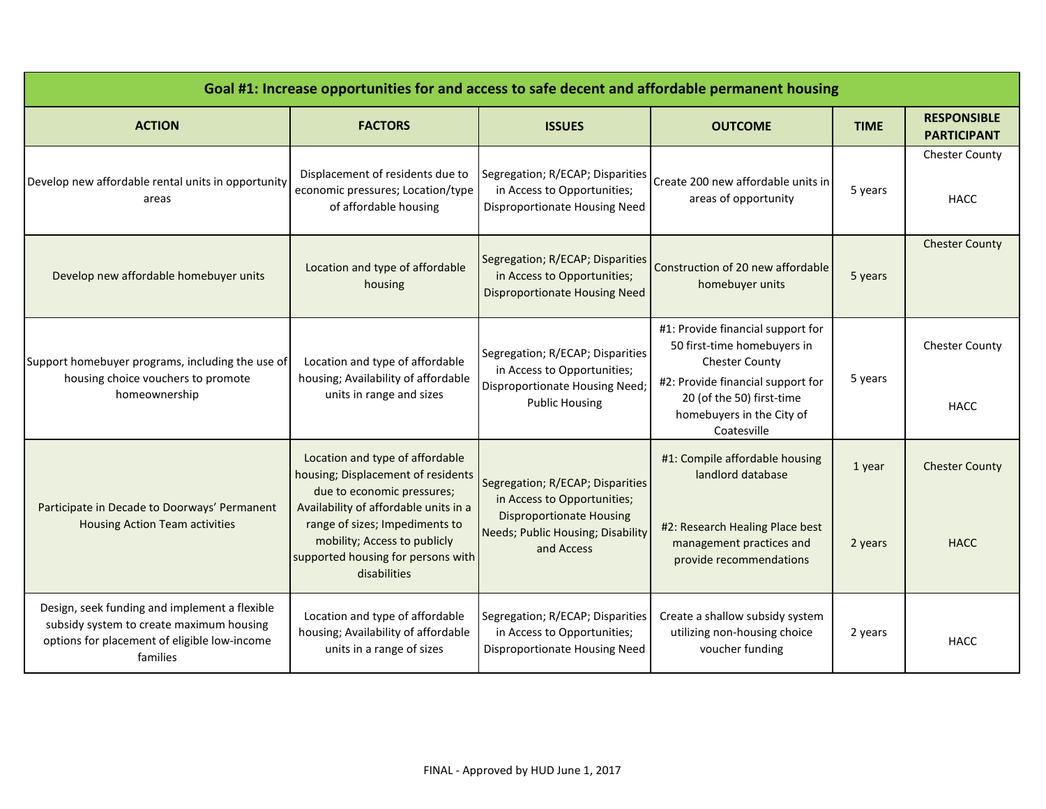| Goal #1: Increase opportunities for and access to safe decent and affordable permanent housing                                                        |                                                                                                                                                                                                                                                                      |                                                                                                                                                              |                                                                                                                                                                                                         |                   |                                          |  |
|-------------------------------------------------------------------------------------------------------------------------------------------------------|----------------------------------------------------------------------------------------------------------------------------------------------------------------------------------------------------------------------------------------------------------------------|--------------------------------------------------------------------------------------------------------------------------------------------------------------|---------------------------------------------------------------------------------------------------------------------------------------------------------------------------------------------------------|-------------------|------------------------------------------|--|
| <b>ACTION</b>                                                                                                                                         | <b>FACTORS</b>                                                                                                                                                                                                                                                       | <b>ISSUES</b>                                                                                                                                                | <b>OUTCOME</b>                                                                                                                                                                                          | <b>TIME</b>       | <b>RESPONSIBLE</b><br><b>PARTICIPANT</b> |  |
| Develop new affordable rental units in opportunity<br>areas                                                                                           | Displacement of residents due to<br>economic pressures; Location/type<br>of affordable housing                                                                                                                                                                       | Segregation; R/ECAP; Disparities<br>in Access to Opportunities;<br>Disproportionate Housing Need                                                             | Create 200 new affordable units in<br>areas of opportunity                                                                                                                                              | 5 years           | <b>Chester County</b><br><b>HACC</b>     |  |
| Develop new affordable homebuyer units                                                                                                                | Location and type of affordable<br>housing                                                                                                                                                                                                                           | Segregation; R/ECAP; Disparities<br>in Access to Opportunities;<br><b>Disproportionate Housing Need</b>                                                      | Construction of 20 new affordable<br>homebuyer units                                                                                                                                                    | 5 years           | <b>Chester County</b>                    |  |
| Support homebuyer programs, including the use of<br>housing choice vouchers to promote<br>homeownership                                               | Location and type of affordable<br>housing; Availability of affordable<br>units in range and sizes                                                                                                                                                                   | Segregation; R/ECAP; Disparities<br>in Access to Opportunities;<br><b>Disproportionate Housing Need;</b><br><b>Public Housing</b>                            | #1: Provide financial support for<br>50 first-time homebuyers in<br><b>Chester County</b><br>#2: Provide financial support for<br>20 (of the 50) first-time<br>homebuyers in the City of<br>Coatesville | 5 years           | <b>Chester County</b><br><b>HACC</b>     |  |
| Participate in Decade to Doorways' Permanent<br><b>Housing Action Team activities</b>                                                                 | Location and type of affordable<br>housing; Displacement of residents<br>due to economic pressures;<br>Availability of affordable units in a<br>range of sizes; Impediments to<br>mobility; Access to publicly<br>supported housing for persons with<br>disabilities | Segregation; R/ECAP; Disparities<br>in Access to Opportunities;<br><b>Disproportionate Housing</b><br><b>Needs; Public Housing; Disability</b><br>and Access | #1: Compile affordable housing<br>landlord database<br>#2: Research Healing Place best<br>management practices and<br>provide recommendations                                                           | 1 year<br>2 years | <b>Chester County</b><br><b>HACC</b>     |  |
| Design, seek funding and implement a flexible<br>subsidy system to create maximum housing<br>options for placement of eligible low-income<br>families | Location and type of affordable<br>housing; Availability of affordable<br>units in a range of sizes                                                                                                                                                                  | Segregation; R/ECAP; Disparities<br>in Access to Opportunities;<br>Disproportionate Housing Need                                                             | Create a shallow subsidy system<br>utilizing non-housing choice<br>voucher funding                                                                                                                      | 2 years           | <b>HACC</b>                              |  |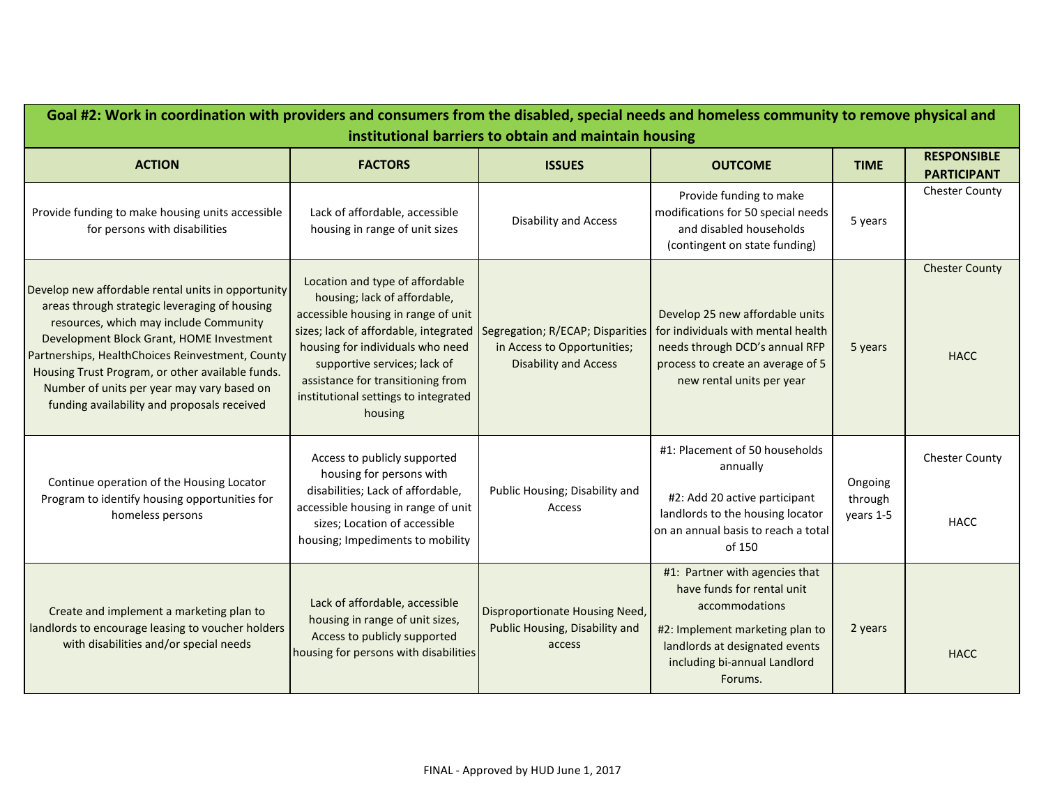| Goal #2: Work in coordination with providers and consumers from the disabled, special needs and homeless community to remove physical and<br>institutional barriers to obtain and maintain housing                                                                                                                                                                                             |                                                                                                                                                                                                                                                                                                             |                                                                                                 |                                                                                                                                                                                                |                                 |                                          |  |
|------------------------------------------------------------------------------------------------------------------------------------------------------------------------------------------------------------------------------------------------------------------------------------------------------------------------------------------------------------------------------------------------|-------------------------------------------------------------------------------------------------------------------------------------------------------------------------------------------------------------------------------------------------------------------------------------------------------------|-------------------------------------------------------------------------------------------------|------------------------------------------------------------------------------------------------------------------------------------------------------------------------------------------------|---------------------------------|------------------------------------------|--|
| <b>ACTION</b>                                                                                                                                                                                                                                                                                                                                                                                  | <b>FACTORS</b>                                                                                                                                                                                                                                                                                              | <b>ISSUES</b>                                                                                   | <b>OUTCOME</b>                                                                                                                                                                                 | <b>TIME</b>                     | <b>RESPONSIBLE</b><br><b>PARTICIPANT</b> |  |
| Provide funding to make housing units accessible<br>for persons with disabilities                                                                                                                                                                                                                                                                                                              | Lack of affordable, accessible<br>housing in range of unit sizes                                                                                                                                                                                                                                            | Disability and Access                                                                           | Provide funding to make<br>modifications for 50 special needs<br>and disabled households<br>(contingent on state funding)                                                                      | 5 years                         | <b>Chester County</b>                    |  |
| Develop new affordable rental units in opportunity<br>areas through strategic leveraging of housing<br>resources, which may include Community<br>Development Block Grant, HOME Investment<br>Partnerships, HealthChoices Reinvestment, County<br>Housing Trust Program, or other available funds.<br>Number of units per year may vary based on<br>funding availability and proposals received | Location and type of affordable<br>housing; lack of affordable,<br>accessible housing in range of unit<br>sizes; lack of affordable, integrated<br>housing for individuals who need<br>supportive services; lack of<br>assistance for transitioning from<br>institutional settings to integrated<br>housing | Segregation; R/ECAP; Disparities<br>in Access to Opportunities;<br><b>Disability and Access</b> | Develop 25 new affordable units<br>for individuals with mental health<br>needs through DCD's annual RFP<br>process to create an average of 5<br>new rental units per year                      | 5 years                         | <b>Chester County</b><br><b>HACC</b>     |  |
| Continue operation of the Housing Locator<br>Program to identify housing opportunities for<br>homeless persons                                                                                                                                                                                                                                                                                 | Access to publicly supported<br>housing for persons with<br>disabilities; Lack of affordable,<br>accessible housing in range of unit<br>sizes; Location of accessible<br>housing; Impediments to mobility                                                                                                   | Public Housing; Disability and<br>Access                                                        | #1: Placement of 50 households<br>annually<br>#2: Add 20 active participant<br>landlords to the housing locator<br>on an annual basis to reach a total<br>of 150                               | Ongoing<br>through<br>years 1-5 | <b>Chester County</b><br><b>HACC</b>     |  |
| Create and implement a marketing plan to<br>landlords to encourage leasing to voucher holders<br>with disabilities and/or special needs                                                                                                                                                                                                                                                        | Lack of affordable, accessible<br>housing in range of unit sizes,<br>Access to publicly supported<br>housing for persons with disabilities                                                                                                                                                                  | Disproportionate Housing Need,<br>Public Housing, Disability and<br>access                      | #1: Partner with agencies that<br>have funds for rental unit<br>accommodations<br>#2: Implement marketing plan to<br>landlords at designated events<br>including bi-annual Landlord<br>Forums. | 2 years                         | <b>HACC</b>                              |  |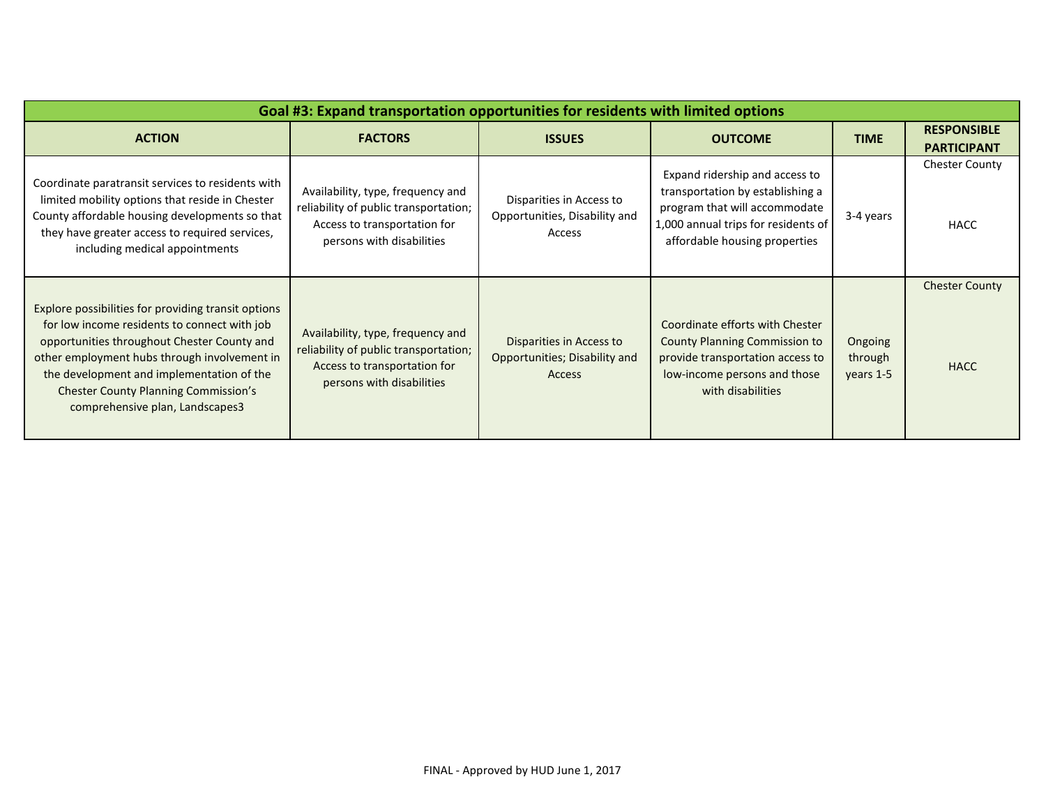| Goal #3: Expand transportation opportunities for residents with limited options                                                                                                                                                                                                                                                   |                                                                                                                                         |                                                                            |                                                                                                                                                                             |                                 |                                          |  |
|-----------------------------------------------------------------------------------------------------------------------------------------------------------------------------------------------------------------------------------------------------------------------------------------------------------------------------------|-----------------------------------------------------------------------------------------------------------------------------------------|----------------------------------------------------------------------------|-----------------------------------------------------------------------------------------------------------------------------------------------------------------------------|---------------------------------|------------------------------------------|--|
| <b>ACTION</b>                                                                                                                                                                                                                                                                                                                     | <b>FACTORS</b>                                                                                                                          | <b>ISSUES</b>                                                              | <b>OUTCOME</b>                                                                                                                                                              | <b>TIME</b>                     | <b>RESPONSIBLE</b><br><b>PARTICIPANT</b> |  |
| Coordinate paratransit services to residents with<br>limited mobility options that reside in Chester<br>County affordable housing developments so that<br>they have greater access to required services,<br>including medical appointments                                                                                        | Availability, type, frequency and<br>reliability of public transportation;<br>Access to transportation for<br>persons with disabilities | Disparities in Access to<br>Opportunities, Disability and<br>Access        | Expand ridership and access to<br>transportation by establishing a<br>program that will accommodate<br>1,000 annual trips for residents of<br>affordable housing properties | 3-4 years                       | <b>Chester County</b><br>HACC            |  |
| Explore possibilities for providing transit options<br>for low income residents to connect with job<br>opportunities throughout Chester County and<br>other employment hubs through involvement in<br>the development and implementation of the<br><b>Chester County Planning Commission's</b><br>comprehensive plan, Landscapes3 | Availability, type, frequency and<br>reliability of public transportation;<br>Access to transportation for<br>persons with disabilities | Disparities in Access to<br>Opportunities; Disability and<br><b>Access</b> | Coordinate efforts with Chester<br><b>County Planning Commission to</b><br>provide transportation access to<br>low-income persons and those<br>with disabilities            | Ongoing<br>through<br>years 1-5 | <b>Chester County</b><br><b>HACC</b>     |  |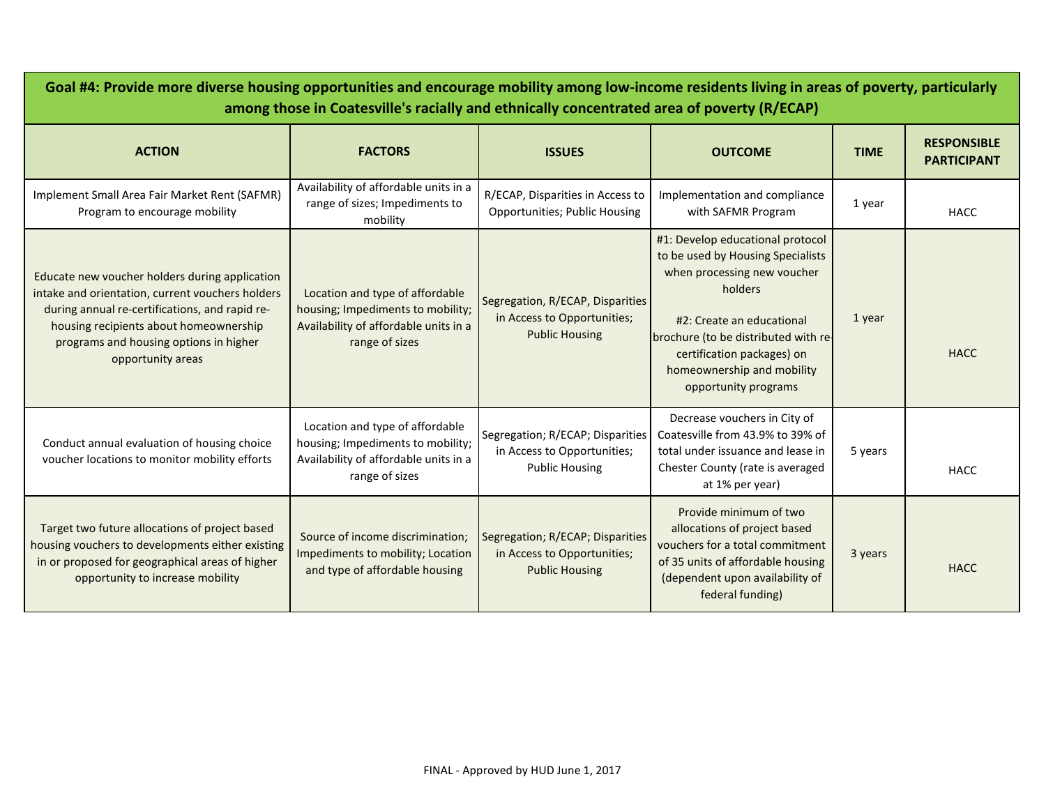| Goal #4: Provide more diverse housing opportunities and encourage mobility among low-income residents living in areas of poverty, particularly<br>among those in Coatesville's racially and ethnically concentrated area of poverty (R/ECAP)                  |                                                                                                                                 |                                                                                          |                                                                                                                                                                                                                                                                          |             |                                          |  |
|---------------------------------------------------------------------------------------------------------------------------------------------------------------------------------------------------------------------------------------------------------------|---------------------------------------------------------------------------------------------------------------------------------|------------------------------------------------------------------------------------------|--------------------------------------------------------------------------------------------------------------------------------------------------------------------------------------------------------------------------------------------------------------------------|-------------|------------------------------------------|--|
| <b>ACTION</b>                                                                                                                                                                                                                                                 | <b>FACTORS</b>                                                                                                                  | <b>ISSUES</b>                                                                            | <b>OUTCOME</b>                                                                                                                                                                                                                                                           | <b>TIME</b> | <b>RESPONSIBLE</b><br><b>PARTICIPANT</b> |  |
| Implement Small Area Fair Market Rent (SAFMR)<br>Program to encourage mobility                                                                                                                                                                                | Availability of affordable units in a<br>range of sizes; Impediments to<br>mobility                                             | R/ECAP, Disparities in Access to<br><b>Opportunities; Public Housing</b>                 | Implementation and compliance<br>with SAFMR Program                                                                                                                                                                                                                      | 1 year      | <b>HACC</b>                              |  |
| Educate new voucher holders during application<br>intake and orientation, current vouchers holders<br>during annual re-certifications, and rapid re-<br>housing recipients about homeownership<br>programs and housing options in higher<br>opportunity areas | Location and type of affordable<br>housing; Impediments to mobility;<br>Availability of affordable units in a<br>range of sizes | Segregation, R/ECAP, Disparities<br>in Access to Opportunities;<br><b>Public Housing</b> | #1: Develop educational protocol<br>to be used by Housing Specialists<br>when processing new voucher<br>holders<br>#2: Create an educational<br>brochure (to be distributed with re-<br>certification packages) on<br>homeownership and mobility<br>opportunity programs | 1 year      | <b>HACC</b>                              |  |
| Conduct annual evaluation of housing choice<br>voucher locations to monitor mobility efforts                                                                                                                                                                  | Location and type of affordable<br>housing; Impediments to mobility;<br>Availability of affordable units in a<br>range of sizes | Segregation; R/ECAP; Disparities<br>in Access to Opportunities;<br><b>Public Housing</b> | Decrease vouchers in City of<br>Coatesville from 43.9% to 39% of<br>total under issuance and lease in<br>Chester County (rate is averaged<br>at 1% per year)                                                                                                             | 5 years     | <b>HACC</b>                              |  |
| Target two future allocations of project based<br>housing vouchers to developments either existing<br>in or proposed for geographical areas of higher<br>opportunity to increase mobility                                                                     | Source of income discrimination;<br>Impediments to mobility; Location<br>and type of affordable housing                         | Segregation; R/ECAP; Disparities<br>in Access to Opportunities;<br><b>Public Housing</b> | Provide minimum of two<br>allocations of project based<br>vouchers for a total commitment<br>of 35 units of affordable housing<br>(dependent upon availability of<br>federal funding)                                                                                    | 3 years     | <b>HACC</b>                              |  |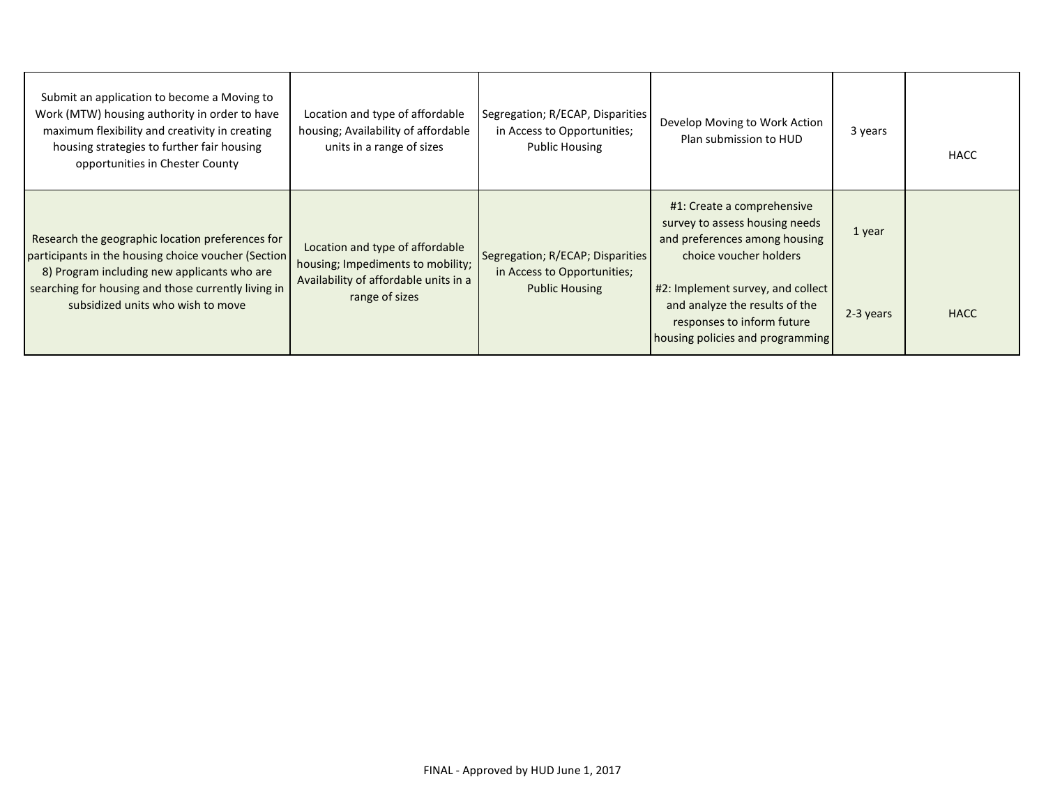| Submit an application to become a Moving to<br>Work (MTW) housing authority in order to have<br>maximum flexibility and creativity in creating<br>housing strategies to further fair housing<br>opportunities in Chester County                    | Location and type of affordable<br>housing; Availability of affordable<br>units in a range of sizes                             | Segregation; R/ECAP, Disparities<br>in Access to Opportunities;<br><b>Public Housing</b> | Develop Moving to Work Action<br>Plan submission to HUD                                                                                                                                        | 3 years             | <b>HACC</b> |
|----------------------------------------------------------------------------------------------------------------------------------------------------------------------------------------------------------------------------------------------------|---------------------------------------------------------------------------------------------------------------------------------|------------------------------------------------------------------------------------------|------------------------------------------------------------------------------------------------------------------------------------------------------------------------------------------------|---------------------|-------------|
| Research the geographic location preferences for<br>participants in the housing choice voucher (Section<br>8) Program including new applicants who are<br>searching for housing and those currently living in<br>subsidized units who wish to move | Location and type of affordable<br>housing; Impediments to mobility;<br>Availability of affordable units in a<br>range of sizes | Segregation; R/ECAP; Disparities<br>in Access to Opportunities;<br><b>Public Housing</b> | #1: Create a comprehensive<br>survey to assess housing needs<br>and preferences among housing<br>choice voucher holders<br>#2: Implement survey, and collect<br>and analyze the results of the | 1 year<br>2-3 years | <b>HACC</b> |
|                                                                                                                                                                                                                                                    |                                                                                                                                 |                                                                                          | responses to inform future<br>housing policies and programming                                                                                                                                 |                     |             |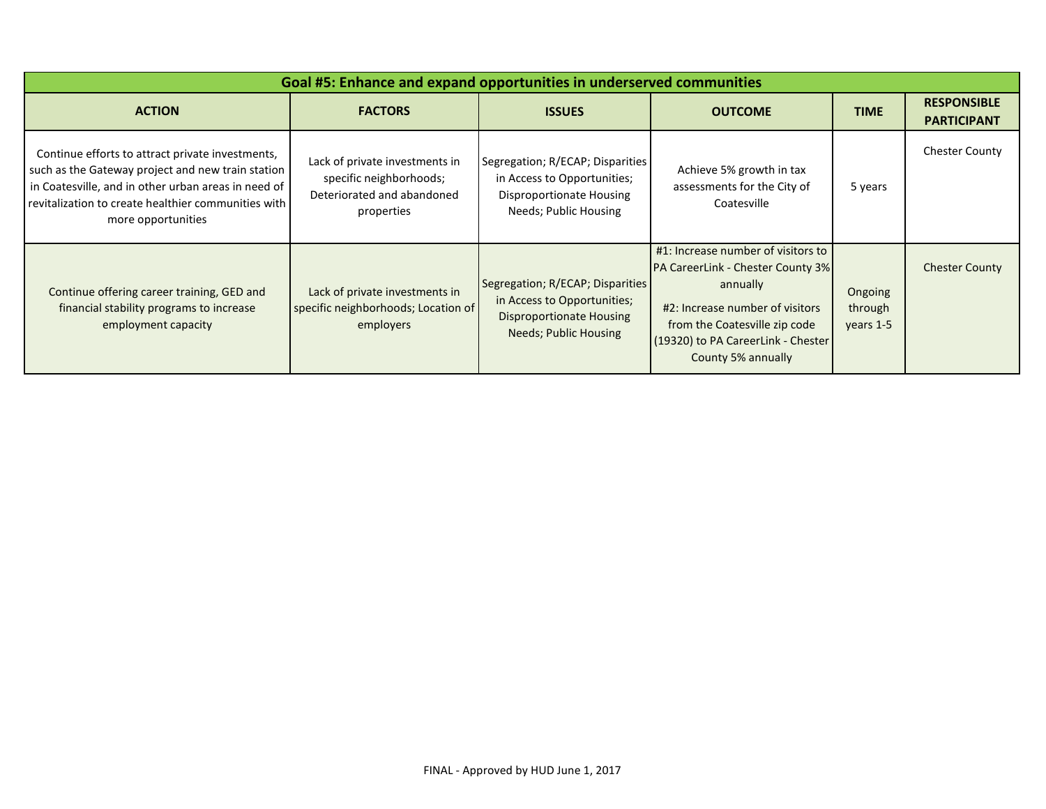| Goal #5: Enhance and expand opportunities in underserved communities                                                                                                                                                                      |                                                                                                       |                                                                                                                                    |                                                                                                                                                                                                                            |                                 |                                          |  |  |
|-------------------------------------------------------------------------------------------------------------------------------------------------------------------------------------------------------------------------------------------|-------------------------------------------------------------------------------------------------------|------------------------------------------------------------------------------------------------------------------------------------|----------------------------------------------------------------------------------------------------------------------------------------------------------------------------------------------------------------------------|---------------------------------|------------------------------------------|--|--|
| <b>ACTION</b>                                                                                                                                                                                                                             | <b>FACTORS</b>                                                                                        | <b>ISSUES</b>                                                                                                                      | <b>OUTCOME</b>                                                                                                                                                                                                             | <b>TIME</b>                     | <b>RESPONSIBLE</b><br><b>PARTICIPANT</b> |  |  |
| Continue efforts to attract private investments,<br>such as the Gateway project and new train station<br>in Coatesville, and in other urban areas in need of<br>revitalization to create healthier communities with<br>more opportunities | Lack of private investments in<br>specific neighborhoods;<br>Deteriorated and abandoned<br>properties | Segregation; R/ECAP; Disparities<br>in Access to Opportunities;<br>Disproportionate Housing<br>Needs; Public Housing               | Achieve 5% growth in tax<br>assessments for the City of<br>Coatesville                                                                                                                                                     | 5 years                         | <b>Chester County</b>                    |  |  |
| Continue offering career training, GED and<br>financial stability programs to increase<br>employment capacity                                                                                                                             | Lack of private investments in<br>specific neighborhoods; Location of<br>employers                    | Segregation; R/ECAP; Disparities<br>in Access to Opportunities;<br><b>Disproportionate Housing</b><br><b>Needs; Public Housing</b> | #1: Increase number of visitors to<br><b>PA CareerLink - Chester County 3%</b><br>annually<br>#2: Increase number of visitors<br>from the Coatesville zip code<br>(19320) to PA CareerLink - Chester<br>County 5% annually | Ongoing<br>through<br>years 1-5 | <b>Chester County</b>                    |  |  |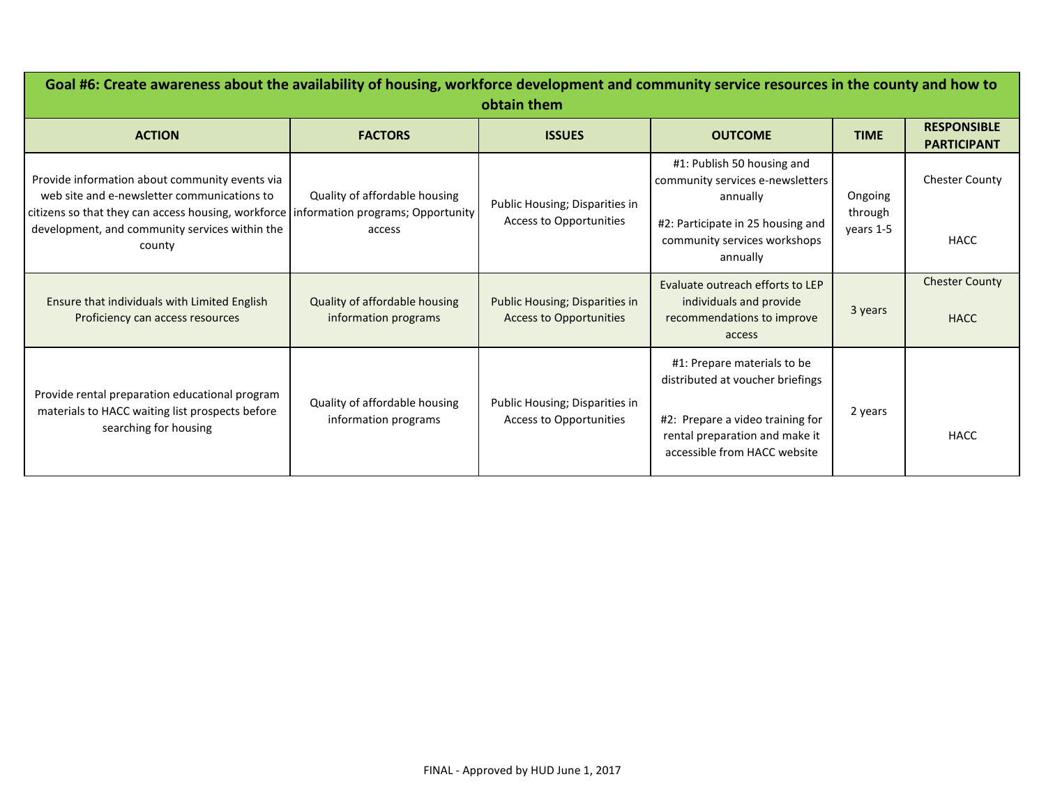| Goal #6: Create awareness about the availability of housing, workforce development and community service resources in the county and how to<br>obtain them |                                                                                                                                  |                                                                  |                                                                                                                                                                       |                      |                                          |  |  |
|------------------------------------------------------------------------------------------------------------------------------------------------------------|----------------------------------------------------------------------------------------------------------------------------------|------------------------------------------------------------------|-----------------------------------------------------------------------------------------------------------------------------------------------------------------------|----------------------|------------------------------------------|--|--|
| <b>ACTION</b>                                                                                                                                              | <b>FACTORS</b>                                                                                                                   | <b>ISSUES</b>                                                    | <b>OUTCOME</b>                                                                                                                                                        | <b>TIME</b>          | <b>RESPONSIBLE</b><br><b>PARTICIPANT</b> |  |  |
| Provide information about community events via<br>web site and e-newsletter communications to                                                              | Quality of affordable housing<br>citizens so that they can access housing, workforce information programs; Opportunity<br>access | Public Housing; Disparities in<br>Access to Opportunities        | #1: Publish 50 housing and<br>community services e-newsletters<br>annually                                                                                            | Ongoing              | <b>Chester County</b>                    |  |  |
| development, and community services within the<br>county                                                                                                   |                                                                                                                                  |                                                                  | #2: Participate in 25 housing and<br>community services workshops<br>annually                                                                                         | through<br>years 1-5 | <b>HACC</b>                              |  |  |
| Ensure that individuals with Limited English<br>Proficiency can access resources                                                                           | Quality of affordable housing<br>information programs                                                                            | Public Housing; Disparities in<br><b>Access to Opportunities</b> | Evaluate outreach efforts to LEP<br>individuals and provide<br>recommendations to improve<br>access                                                                   | 3 years              | <b>Chester County</b><br><b>HACC</b>     |  |  |
| Provide rental preparation educational program<br>materials to HACC waiting list prospects before<br>searching for housing                                 | Quality of affordable housing<br>information programs                                                                            | Public Housing; Disparities in<br>Access to Opportunities        | #1: Prepare materials to be<br>distributed at voucher briefings<br>#2: Prepare a video training for<br>rental preparation and make it<br>accessible from HACC website | 2 years              | <b>HACC</b>                              |  |  |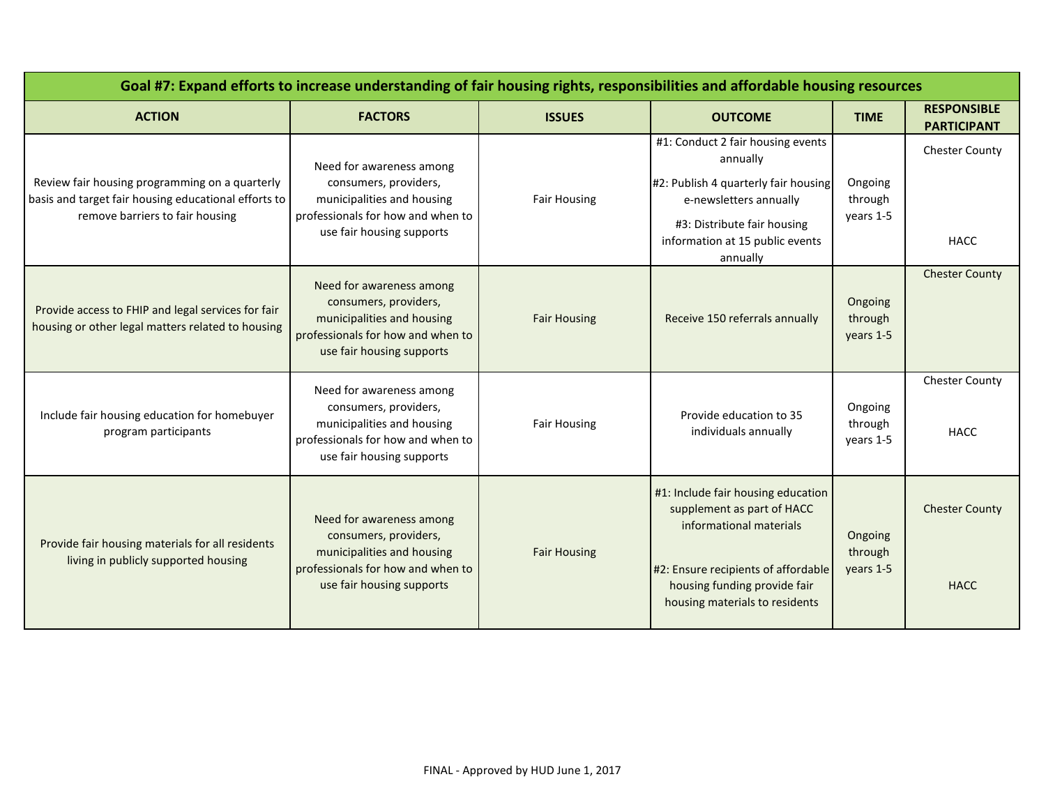| Goal #7: Expand efforts to increase understanding of fair housing rights, responsibilities and affordable housing resources               |                                                                                                                                                   |                     |                                                                                                                                                                                                      |                                 |                                          |
|-------------------------------------------------------------------------------------------------------------------------------------------|---------------------------------------------------------------------------------------------------------------------------------------------------|---------------------|------------------------------------------------------------------------------------------------------------------------------------------------------------------------------------------------------|---------------------------------|------------------------------------------|
| <b>ACTION</b>                                                                                                                             | <b>FACTORS</b>                                                                                                                                    | <b>ISSUES</b>       | <b>OUTCOME</b>                                                                                                                                                                                       | <b>TIME</b>                     | <b>RESPONSIBLE</b><br><b>PARTICIPANT</b> |
| Review fair housing programming on a quarterly<br>basis and target fair housing educational efforts to<br>remove barriers to fair housing | Need for awareness among<br>consumers, providers,<br>municipalities and housing<br>professionals for how and when to<br>use fair housing supports | <b>Fair Housing</b> | #1: Conduct 2 fair housing events<br>annually<br>#2: Publish 4 quarterly fair housing<br>e-newsletters annually<br>#3: Distribute fair housing<br>information at 15 public events<br>annually        | Ongoing<br>through<br>years 1-5 | <b>Chester County</b><br><b>HACC</b>     |
| Provide access to FHIP and legal services for fair<br>housing or other legal matters related to housing                                   | Need for awareness among<br>consumers, providers,<br>municipalities and housing<br>professionals for how and when to<br>use fair housing supports | <b>Fair Housing</b> | Receive 150 referrals annually                                                                                                                                                                       | Ongoing<br>through<br>years 1-5 | <b>Chester County</b>                    |
| Include fair housing education for homebuyer<br>program participants                                                                      | Need for awareness among<br>consumers, providers,<br>municipalities and housing<br>professionals for how and when to<br>use fair housing supports | <b>Fair Housing</b> | Provide education to 35<br>individuals annually                                                                                                                                                      | Ongoing<br>through<br>vears 1-5 | <b>Chester County</b><br><b>HACC</b>     |
| Provide fair housing materials for all residents<br>living in publicly supported housing                                                  | Need for awareness among<br>consumers, providers,<br>municipalities and housing<br>professionals for how and when to<br>use fair housing supports | <b>Fair Housing</b> | #1: Include fair housing education<br>supplement as part of HACC<br>informational materials<br>#2: Ensure recipients of affordable<br>housing funding provide fair<br>housing materials to residents | Ongoing<br>through<br>years 1-5 | <b>Chester County</b><br><b>HACC</b>     |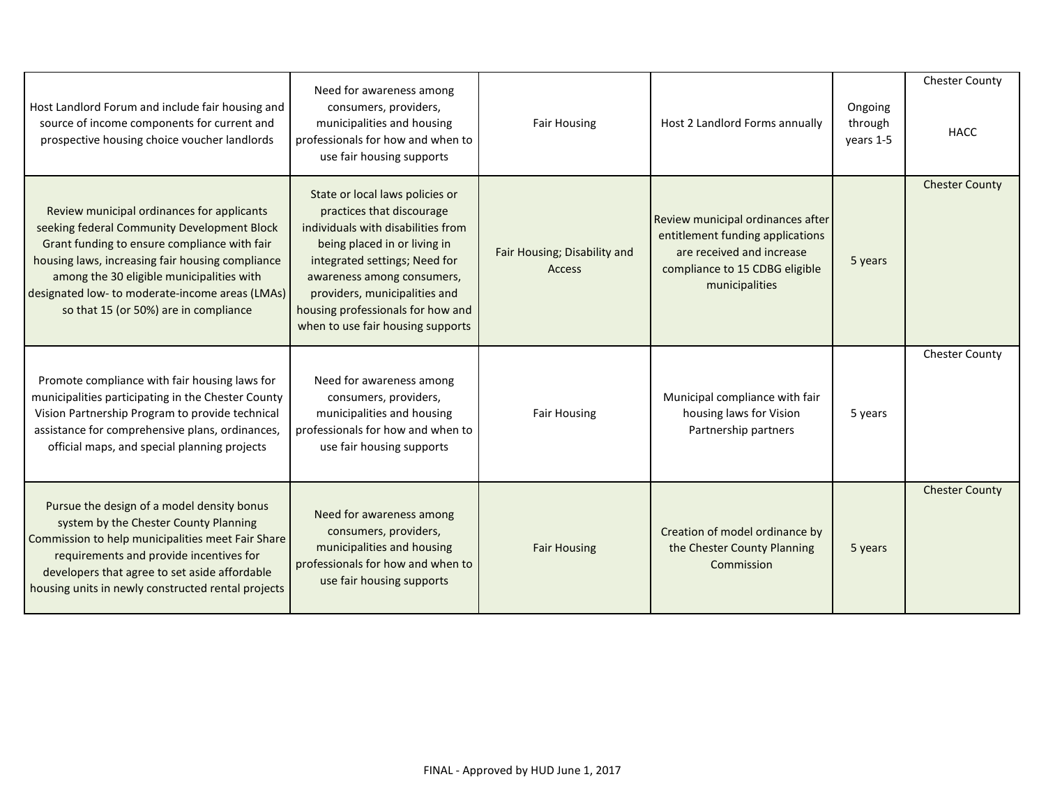| Host Landlord Forum and include fair housing and<br>source of income components for current and<br>prospective housing choice voucher landlords                                                                                                                                                                                        | Need for awareness among<br>consumers, providers,<br>municipalities and housing<br>professionals for how and when to<br>use fair housing supports                                                                                                                                                            | <b>Fair Housing</b>                           | Host 2 Landlord Forms annually                                                                                                                         | Ongoing<br>through<br>years 1-5 | <b>Chester County</b><br><b>HACC</b> |
|----------------------------------------------------------------------------------------------------------------------------------------------------------------------------------------------------------------------------------------------------------------------------------------------------------------------------------------|--------------------------------------------------------------------------------------------------------------------------------------------------------------------------------------------------------------------------------------------------------------------------------------------------------------|-----------------------------------------------|--------------------------------------------------------------------------------------------------------------------------------------------------------|---------------------------------|--------------------------------------|
| Review municipal ordinances for applicants<br>seeking federal Community Development Block<br>Grant funding to ensure compliance with fair<br>housing laws, increasing fair housing compliance<br>among the 30 eligible municipalities with<br>designated low- to moderate-income areas (LMAs)<br>so that 15 (or 50%) are in compliance | State or local laws policies or<br>practices that discourage<br>individuals with disabilities from<br>being placed in or living in<br>integrated settings; Need for<br>awareness among consumers,<br>providers, municipalities and<br>housing professionals for how and<br>when to use fair housing supports | Fair Housing; Disability and<br><b>Access</b> | Review municipal ordinances after<br>entitlement funding applications<br>are received and increase<br>compliance to 15 CDBG eligible<br>municipalities | 5 years                         | <b>Chester County</b>                |
| Promote compliance with fair housing laws for<br>municipalities participating in the Chester County<br>Vision Partnership Program to provide technical<br>assistance for comprehensive plans, ordinances,<br>official maps, and special planning projects                                                                              | Need for awareness among<br>consumers, providers,<br>municipalities and housing<br>professionals for how and when to<br>use fair housing supports                                                                                                                                                            | <b>Fair Housing</b>                           | Municipal compliance with fair<br>housing laws for Vision<br>Partnership partners                                                                      | 5 years                         | <b>Chester County</b>                |
| Pursue the design of a model density bonus<br>system by the Chester County Planning<br>Commission to help municipalities meet Fair Share<br>requirements and provide incentives for<br>developers that agree to set aside affordable<br>housing units in newly constructed rental projects                                             | Need for awareness among<br>consumers, providers,<br>municipalities and housing<br>professionals for how and when to<br>use fair housing supports                                                                                                                                                            | <b>Fair Housing</b>                           | Creation of model ordinance by<br>the Chester County Planning<br>Commission                                                                            | 5 years                         | <b>Chester County</b>                |